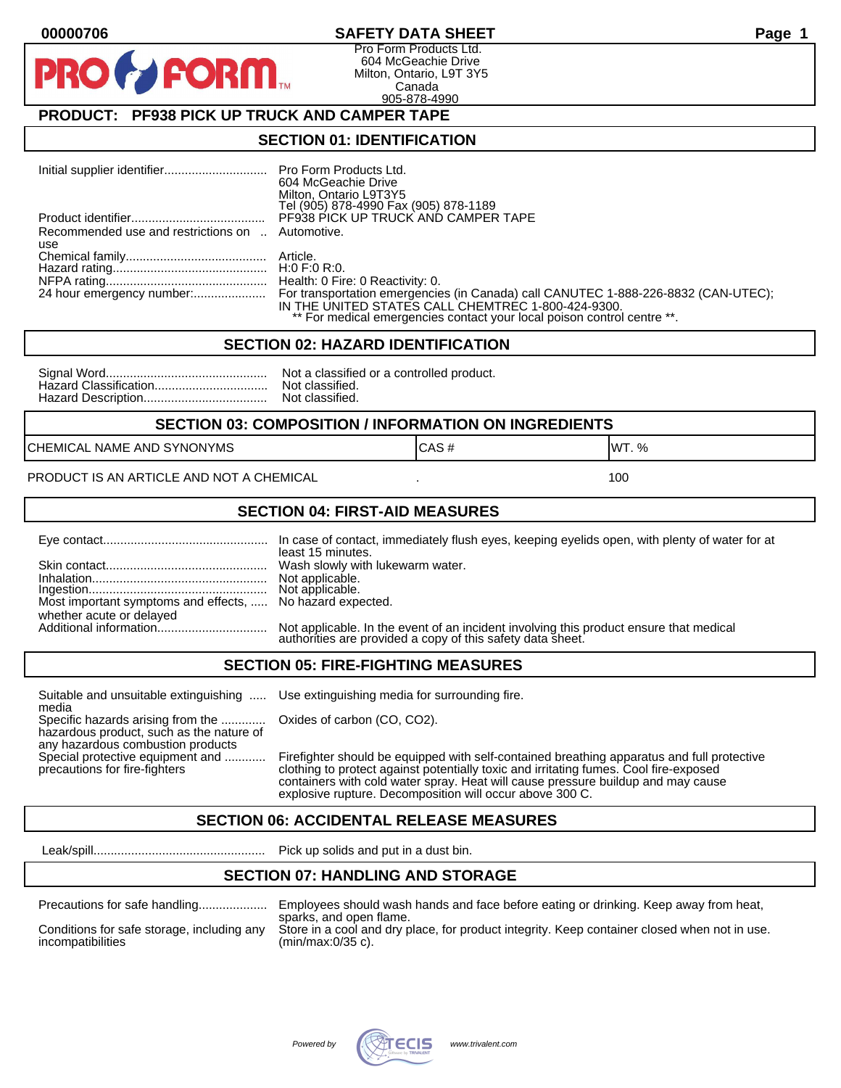#### **00000706 SAFETY DATA SHEET Page 1**

Pro Form Products Ltd. 604 McGeachie Drive Milton, Ontario, L9T 3Y5 Canada 905-878-4990

## **PRODUCT: PF938 PICK UP TRUCK AND CAMPER TAPE**

**FORM.** 

#### **SECTION 01: IDENTIFICATION**

|                                                         | 604 McGeachie Drive<br>Milton, Ontario L9T3Y5<br>Tel (905) 878-4990 Fax (905) 878-1189                                                                                                                                                        |
|---------------------------------------------------------|-----------------------------------------------------------------------------------------------------------------------------------------------------------------------------------------------------------------------------------------------|
|                                                         | PF938 PICK UP TRUCK AND CAMPER TAPE                                                                                                                                                                                                           |
| Recommended use and restrictions on  Automotive.<br>use |                                                                                                                                                                                                                                               |
|                                                         |                                                                                                                                                                                                                                               |
|                                                         |                                                                                                                                                                                                                                               |
|                                                         |                                                                                                                                                                                                                                               |
|                                                         | 24 hour emergency number: For transportation emergencies (in Canada) call CANUTEC 1-888-226-8832 (CAN-UTEC);<br>IN THE UNITED STATES CALL CHEMTREC 1-800-424-9300.<br>** For medical emergencies contact your local poison control centre **. |

#### **SECTION 02: HAZARD IDENTIFICATION**

| Nc             |
|----------------|
| N <sub>C</sub> |
| No             |

It a classified or a controlled product. t classified. t classified.

#### **SECTION 03: COMPOSITION / INFORMATION ON INGREDIENTS**

CHEMICAL NAME AND SYNONYMS GAS AND CAS # CAS # WT. %

PRODUCT IS AN ARTICLE AND NOT A CHEMICAL **AND THE SET AND A SET ALL ASSAULT** 100

#### **SECTION 04: FIRST-AID MEASURES**

|                                                                                       | least 15 minutes.                                                                                                                                    |
|---------------------------------------------------------------------------------------|------------------------------------------------------------------------------------------------------------------------------------------------------|
|                                                                                       |                                                                                                                                                      |
| Most important symptoms and effects,  No hazard expected.<br>whether acute or delayed | Not applicable. In the event of an incident involving this product ensure that medical<br>authorities are provided a copy of this safety data sheet. |

#### **SECTION 05: FIRE-FIGHTING MEASURES**

Suitable and unsuitable extinguishing ..... Use extinguishing media for surrounding fire. media

Specific hazards arising from the ............. Oxides of carbon (CO, CO2). hazardous product, such as the nature of any hazardous combustion products

Special protective equipment and ............ Firefighter should be equipped with self-contained breathing apparatus and full protective<br>precautions for fire-fighters continent clothing to protect against potentially toxic clothing to protect against potentially toxic and irritating fumes. Cool fire-exposed containers with cold water spray. Heat will cause pressure buildup and may cause explosive rupture. Decomposition will occur above 300 C.

## **SECTION 06: ACCIDENTAL RELEASE MEASURES**

Leak/spill.................................................. Pick up solids and put in a dust bin.

#### **SECTION 07: HANDLING AND STORAGE**

| Precaduons for safe handling |  |
|------------------------------|--|
|                              |  |

Precautions for safe handling.................... Employees should wash hands and face before eating or drinking. Keep away from heat, sparks, and open flame. Conditions for safe storage, including any Store in a cool and dry place, for product integrity. Keep container closed when not in use.<br>incompatibilities (min/max:0/35 c).  $(min/max:0/35 c)$ .

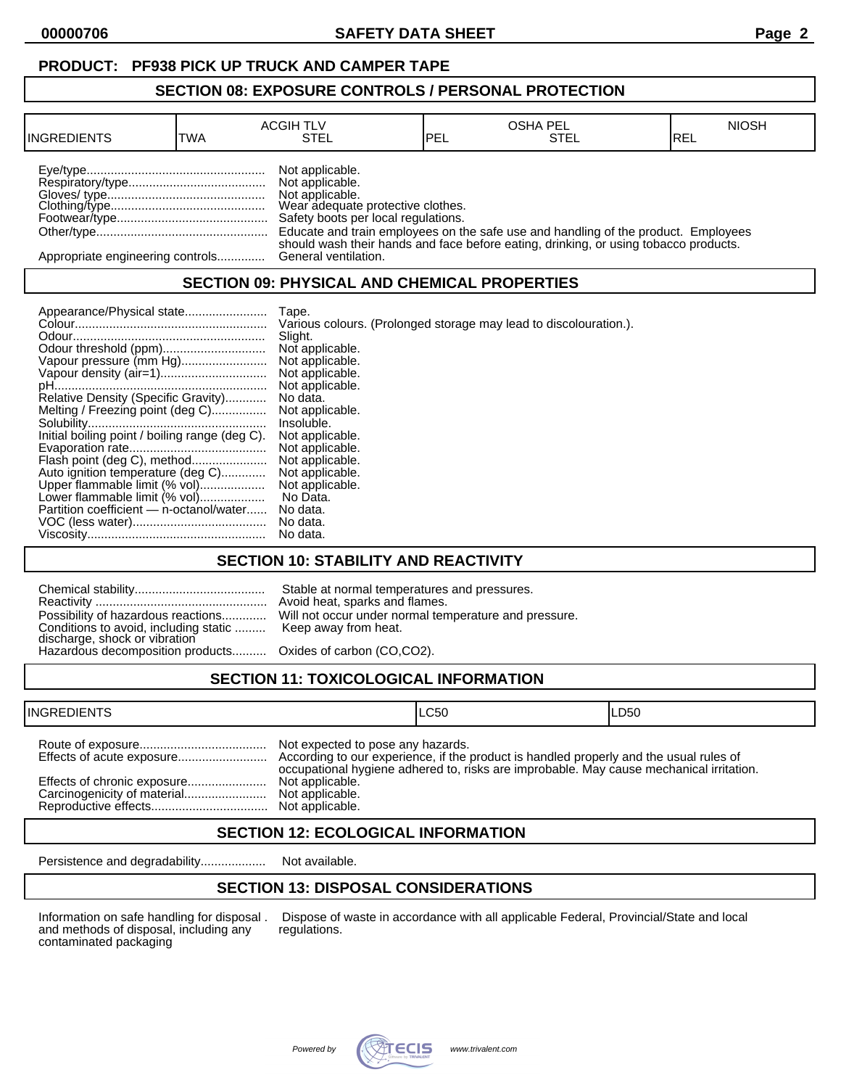## **PRODUCT: PF938 PICK UP TRUCK AND CAMPER TAPE**

#### **SECTION 08: EXPOSURE CONTROLS / PERSONAL PROTECTION**

| <b>INGREDIENTS</b>               | TWA | <b>ACGIH TLV</b><br>STEL                                                                                                          | <b>IPEL</b> | <b>OSHA PEL</b><br>STEL                                                              | <b>NIOSH</b><br>IREL |
|----------------------------------|-----|-----------------------------------------------------------------------------------------------------------------------------------|-------------|--------------------------------------------------------------------------------------|----------------------|
|                                  |     | Not applicable.<br>Not applicable.<br>Not applicable.<br>Wear adequate protective clothes.<br>Safety boots per local regulations. |             | Educate and train employees on the safe use and handling of the product. Employees   |                      |
| Appropriate engineering controls |     | General ventilation.                                                                                                              |             | should wash their hands and face before eating, drinking, or using tobacco products. |                      |

## **SECTION 09: PHYSICAL AND CHEMICAL PROPERTIES**

|                                                | Tape.                                                             |
|------------------------------------------------|-------------------------------------------------------------------|
|                                                | Various colours. (Prolonged storage may lead to discolouration.). |
|                                                | Slight.                                                           |
|                                                | Not applicable.                                                   |
| Vapour pressure (mm Hg)                        | Not applicable.                                                   |
|                                                | Not applicable.                                                   |
|                                                | Not applicable.                                                   |
| Relative Density (Specific Gravity)            | No data.                                                          |
| Melting / Freezing point (deg C)               | Not applicable.                                                   |
|                                                | Insoluble.                                                        |
| Initial boiling point / boiling range (deg C). | Not applicable.                                                   |
|                                                | Not applicable.                                                   |
| Flash point (deg C), method                    | Not applicable.                                                   |
| Auto ignition temperature (deg C)              | Not applicable.                                                   |
| Upper flammable limit (% vol)                  | Not applicable.                                                   |
| Lower flammable limit (% vol)                  | No Data.                                                          |
| Partition coefficient - n-octanol/water        | No data.                                                          |
|                                                | No data.                                                          |
|                                                | No data.                                                          |

## **SECTION 10: STABILITY AND REACTIVITY**

| Conditions to avoid, including static  Keep away from heat.<br>discharge, shock or vibration<br>Hazardous decomposition products Oxides of carbon (CO,CO2). | Stable at normal temperatures and pressures.<br>Avoid heat, sparks and flames.<br>Possibility of hazardous reactions Will not occur under normal temperature and pressure. |
|-------------------------------------------------------------------------------------------------------------------------------------------------------------|----------------------------------------------------------------------------------------------------------------------------------------------------------------------------|
|                                                                                                                                                             |                                                                                                                                                                            |

# **SECTION 11: TOXICOLOGICAL INFORMATION**

| <b>INGREDIENTS</b>          | ILC50                                                |                                                                                         | LD50 |
|-----------------------------|------------------------------------------------------|-----------------------------------------------------------------------------------------|------|
| Effects of chronic exposure | Not expected to pose any hazards.<br>Not applicable. | occupational hygiene adhered to, risks are improbable. May cause mechanical irritation. |      |

## **SECTION 12: ECOLOGICAL INFORMATION**

Persistence and degradability................... Not available.

## **SECTION 13: DISPOSAL CONSIDERATIONS**

and methods of disposal, including any contaminated packaging

Information on safe handling for disposal . Dispose of waste in accordance with all applicable Federal, Provincial/State and local